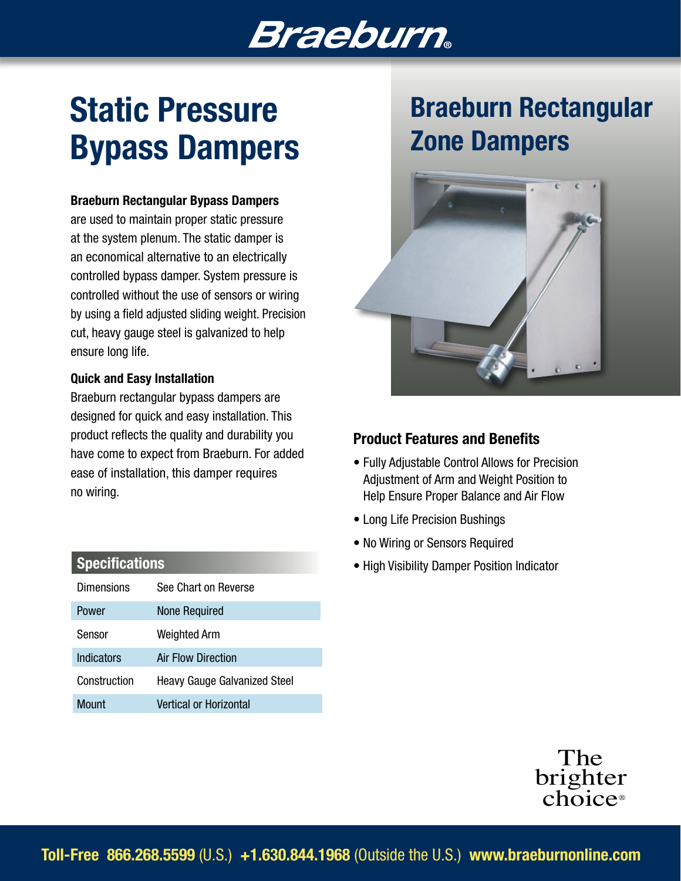# **Braeburn**

# Static Pressure Bypass Dampers

#### Braeburn Rectangular Bypass Dampers

are used to maintain proper static pressure at the system plenum. The static damper is an economical alternative to an electrically controlled bypass damper. System pressure is controlled without the use of sensors or wiring by using a field adjusted sliding weight. Precision cut, heavy gauge steel is galvanized to help ensure long life.

#### Quick and Easy Installation

Braeburn rectangular bypass dampers are designed for quick and easy installation. This product reflects the quality and durability you have come to expect from Braeburn. For added ease of installation, this damper requires no wiring.

| <b>Dimensions</b> | See Chart on Reverse                |
|-------------------|-------------------------------------|
| Power             | <b>None Required</b>                |
| Sensor            | <b>Weighted Arm</b>                 |
| <b>Indicators</b> | Air Flow Direction                  |
| Construction      | <b>Heavy Gauge Galvanized Steel</b> |
| Mount             | Vertical or Horizontal              |

## Braeburn Rectangular Zone Dampers



#### Product Features and Benefits

- Fully Adjustable Control Allows for Precision Adjustment of Arm and Weight Position to Help Ensure Proper Balance and Air Flow
- Long Life Precision Bushings
- No Wiring or Sensors Required
- Specifications  **Specifications** High Visibility Damper Position Indicator



Toll-Free 866.268.5599 (U.S.) +1.630.844.1968 (Outside the U.S.) www.braeburnonline.com